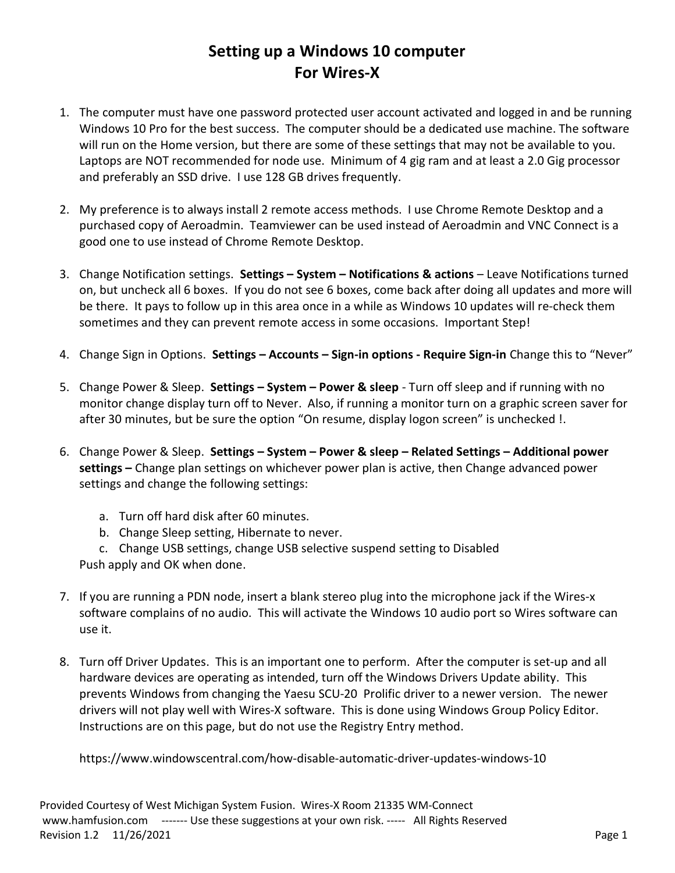## Setting up a Windows 10 computer For Wires-X

- 1. The computer must have one password protected user account activated and logged in and be running Windows 10 Pro for the best success. The computer should be a dedicated use machine. The software will run on the Home version, but there are some of these settings that may not be available to you. Laptops are NOT recommended for node use. Minimum of 4 gig ram and at least a 2.0 Gig processor and preferably an SSD drive. I use 128 GB drives frequently.
- 2. My preference is to always install 2 remote access methods. I use Chrome Remote Desktop and a purchased copy of Aeroadmin. Teamviewer can be used instead of Aeroadmin and VNC Connect is a good one to use instead of Chrome Remote Desktop.
- 3. Change Notification settings. Settings System Notifications & actions Leave Notifications turned on, but uncheck all 6 boxes. If you do not see 6 boxes, come back after doing all updates and more will be there. It pays to follow up in this area once in a while as Windows 10 updates will re-check them sometimes and they can prevent remote access in some occasions. Important Step!
- 4. Change Sign in Options. Settings Accounts Sign-in options Require Sign-in Change this to "Never"
- 5. Change Power & Sleep. Settings System Power & sleep Turn off sleep and if running with no monitor change display turn off to Never. Also, if running a monitor turn on a graphic screen saver for after 30 minutes, but be sure the option "On resume, display logon screen" is unchecked !.
- 6. Change Power & Sleep. Settings System Power & sleep Related Settings Additional power settings – Change plan settings on whichever power plan is active, then Change advanced power settings and change the following settings:
	- a. Turn off hard disk after 60 minutes.
	- b. Change Sleep setting, Hibernate to never.
	- c. Change USB settings, change USB selective suspend setting to Disabled

Push apply and OK when done.

- 7. If you are running a PDN node, insert a blank stereo plug into the microphone jack if the Wires-x software complains of no audio. This will activate the Windows 10 audio port so Wires software can use it.
- 8. Turn off Driver Updates. This is an important one to perform. After the computer is set-up and all hardware devices are operating as intended, turn off the Windows Drivers Update ability. This prevents Windows from changing the Yaesu SCU-20 Prolific driver to a newer version. The newer drivers will not play well with Wires-X software. This is done using Windows Group Policy Editor. Instructions are on this page, but do not use the Registry Entry method.

https://www.windowscentral.com/how-disable-automatic-driver-updates-windows-10